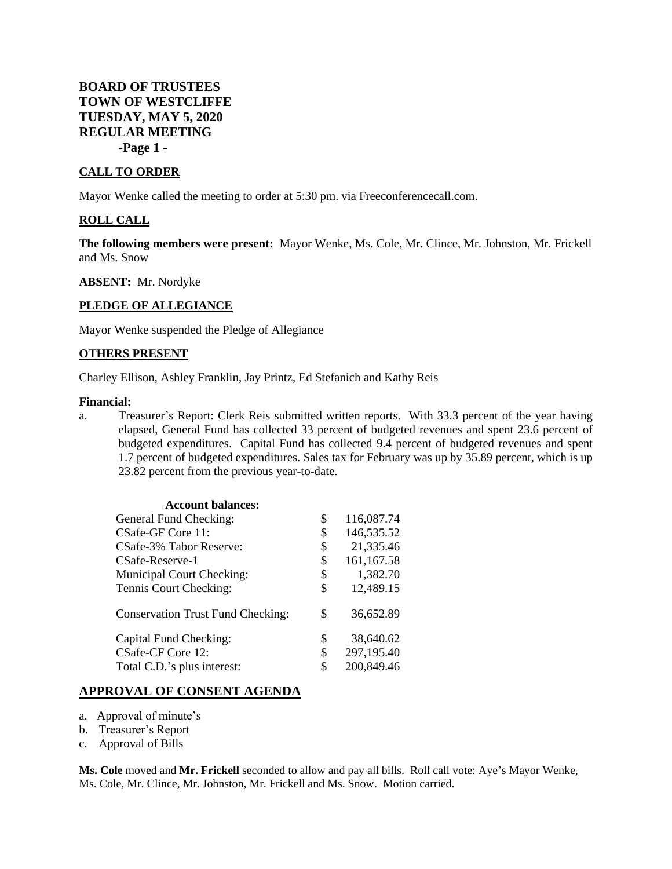# **BOARD OF TRUSTEES TOWN OF WESTCLIFFE TUESDAY, MAY 5, 2020 REGULAR MEETING -Page 1 -**

#### **CALL TO ORDER**

Mayor Wenke called the meeting to order at 5:30 pm. via Freeconferencecall.com.

#### **ROLL CALL**

**The following members were present:** Mayor Wenke, Ms. Cole, Mr. Clince, Mr. Johnston, Mr. Frickell and Ms. Snow

**ABSENT:** Mr. Nordyke

#### **PLEDGE OF ALLEGIANCE**

Mayor Wenke suspended the Pledge of Allegiance

#### **OTHERS PRESENT**

Charley Ellison, Ashley Franklin, Jay Printz, Ed Stefanich and Kathy Reis

#### **Financial:**

a. Treasurer's Report: Clerk Reis submitted written reports. With 33.3 percent of the year having elapsed, General Fund has collected 33 percent of budgeted revenues and spent 23.6 percent of budgeted expenditures. Capital Fund has collected 9.4 percent of budgeted revenues and spent 1.7 percent of budgeted expenditures. Sales tax for February was up by 35.89 percent, which is up 23.82 percent from the previous year-to-date.

| <b>Account balances:</b>                 |                  |
|------------------------------------------|------------------|
| General Fund Checking:                   | \$<br>116,087.74 |
| CSafe-GF Core 11:                        | \$<br>146,535.52 |
| CSafe-3% Tabor Reserve:                  | \$<br>21,335.46  |
| CSafe-Reserve-1                          | \$<br>161,167.58 |
| Municipal Court Checking:                | \$<br>1,382.70   |
| Tennis Court Checking:                   | \$<br>12,489.15  |
| <b>Conservation Trust Fund Checking:</b> | \$<br>36,652.89  |
| Capital Fund Checking:                   | \$<br>38,640.62  |
| CSafe-CF Core 12:                        | \$<br>297,195.40 |
| Total C.D.'s plus interest:              | \$<br>200,849.46 |

## **APPROVAL OF CONSENT AGENDA**

- a. Approval of minute's
- b. Treasurer's Report
- c. Approval of Bills

**Ms. Cole** moved and **Mr. Frickell** seconded to allow and pay all bills. Roll call vote: Aye's Mayor Wenke, Ms. Cole, Mr. Clince, Mr. Johnston, Mr. Frickell and Ms. Snow. Motion carried.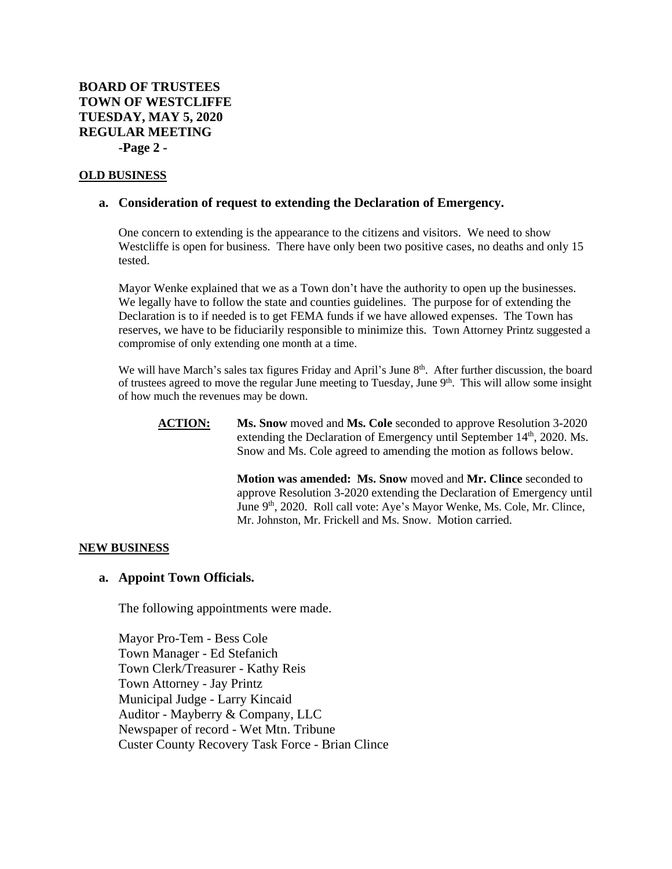# **BOARD OF TRUSTEES TOWN OF WESTCLIFFE TUESDAY, MAY 5, 2020 REGULAR MEETING -Page 2 -**

### **OLD BUSINESS**

## **a. Consideration of request to extending the Declaration of Emergency.**

One concern to extending is the appearance to the citizens and visitors. We need to show Westcliffe is open for business. There have only been two positive cases, no deaths and only 15 tested.

Mayor Wenke explained that we as a Town don't have the authority to open up the businesses. We legally have to follow the state and counties guidelines. The purpose for of extending the Declaration is to if needed is to get FEMA funds if we have allowed expenses. The Town has reserves, we have to be fiduciarily responsible to minimize this. Town Attorney Printz suggested a compromise of only extending one month at a time.

We will have March's sales tax figures Friday and April's June 8<sup>th</sup>. After further discussion, the board of trustees agreed to move the regular June meeting to Tuesday, June  $9<sup>th</sup>$ . This will allow some insight of how much the revenues may be down.

**ACTION: Ms. Snow** moved and **Ms. Cole** seconded to approve Resolution 3-2020 extending the Declaration of Emergency until September 14<sup>th</sup>, 2020. Ms. Snow and Ms. Cole agreed to amending the motion as follows below.

> **Motion was amended: Ms. Snow** moved and **Mr. Clince** seconded to approve Resolution 3-2020 extending the Declaration of Emergency until June 9<sup>th</sup>, 2020. Roll call vote: Aye's Mayor Wenke, Ms. Cole, Mr. Clince, Mr. Johnston, Mr. Frickell and Ms. Snow. Motion carried.

### **NEW BUSINESS**

### **a. Appoint Town Officials.**

The following appointments were made.

Mayor Pro-Tem - Bess Cole Town Manager - Ed Stefanich Town Clerk/Treasurer - Kathy Reis Town Attorney - Jay Printz Municipal Judge - Larry Kincaid Auditor - Mayberry & Company, LLC Newspaper of record - Wet Mtn. Tribune Custer County Recovery Task Force - Brian Clince